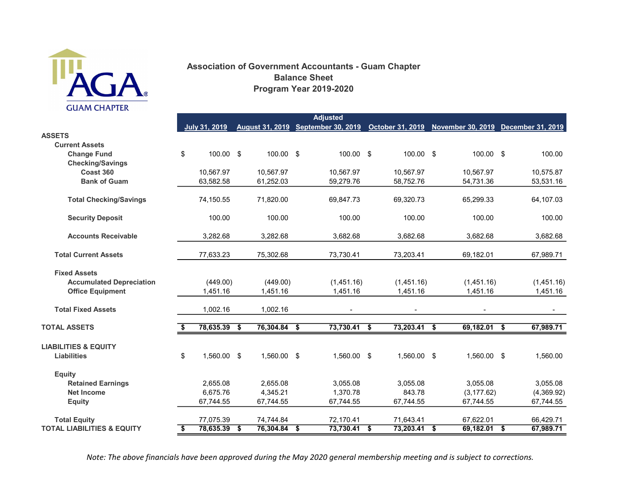

## Association of Government Accountants - Guam Chapter Program Year 2019-2020 Balance Sheet

|                                       | <b>Adjusted</b> |                      |    |                |  |                                                                                         |      |                |      |                |  |            |
|---------------------------------------|-----------------|----------------------|----|----------------|--|-----------------------------------------------------------------------------------------|------|----------------|------|----------------|--|------------|
|                                       |                 | <b>July 31, 2019</b> |    |                |  | August 31, 2019 September 30, 2019 October 31, 2019 November 30, 2019 December 31, 2019 |      |                |      |                |  |            |
| <b>ASSETS</b>                         |                 |                      |    |                |  |                                                                                         |      |                |      |                |  |            |
| <b>Current Assets</b>                 |                 |                      |    |                |  |                                                                                         |      |                |      |                |  |            |
| <b>Change Fund</b>                    | \$              | 100.00 \$            |    | 100.00 \$      |  | 100.00 \$                                                                               |      | 100.00 \$      |      | 100.00 \$      |  | 100.00     |
| <b>Checking/Savings</b>               |                 |                      |    |                |  |                                                                                         |      |                |      |                |  |            |
| Coast 360                             |                 | 10,567.97            |    | 10,567.97      |  | 10,567.97                                                                               |      | 10,567.97      |      | 10,567.97      |  | 10,575.87  |
| <b>Bank of Guam</b>                   |                 | 63,582.58            |    | 61,252.03      |  | 59,279.76                                                                               |      | 58,752.76      |      | 54,731.36      |  | 53,531.16  |
| <b>Total Checking/Savings</b>         |                 | 74,150.55            |    | 71,820.00      |  | 69,847.73                                                                               |      | 69,320.73      |      | 65,299.33      |  | 64,107.03  |
| <b>Security Deposit</b>               |                 | 100.00               |    | 100.00         |  | 100.00                                                                                  |      | 100.00         |      | 100.00         |  | 100.00     |
| <b>Accounts Receivable</b>            |                 | 3,282.68             |    | 3,282.68       |  | 3,682.68                                                                                |      | 3,682.68       |      | 3,682.68       |  | 3,682.68   |
| <b>Total Current Assets</b>           |                 | 77,633.23            |    | 75,302.68      |  | 73,730.41                                                                               |      | 73,203.41      |      | 69,182.01      |  | 67,989.71  |
| <b>Fixed Assets</b>                   |                 |                      |    |                |  |                                                                                         |      |                |      |                |  |            |
| <b>Accumulated Depreciation</b>       |                 | (449.00)             |    | (449.00)       |  | (1,451.16)                                                                              |      | (1,451.16)     |      | (1,451.16)     |  | (1,451.16) |
| <b>Office Equipment</b>               |                 | 1,451.16             |    | 1,451.16       |  | 1,451.16                                                                                |      | 1,451.16       |      | 1,451.16       |  | 1,451.16   |
| <b>Total Fixed Assets</b>             |                 | 1,002.16             |    | 1,002.16       |  |                                                                                         |      |                |      |                |  |            |
| <b>TOTAL ASSETS</b>                   |                 | 78,635.39            | \$ | 76,304.84 \$   |  | 73,730.41                                                                               | - \$ | 73,203.41      | - \$ | $69,182.01$ \$ |  | 67,989.71  |
| <b>LIABILITIES &amp; EQUITY</b>       |                 |                      |    |                |  |                                                                                         |      |                |      |                |  |            |
| <b>Liabilities</b>                    | \$              | 1,560.00 \$          |    | 1,560.00 \$    |  | 1,560.00 \$                                                                             |      | 1,560.00 \$    |      | 1,560.00 \$    |  | 1,560.00   |
| <b>Equity</b>                         |                 |                      |    |                |  |                                                                                         |      |                |      |                |  |            |
| <b>Retained Earnings</b>              |                 | 2,655.08             |    | 2,655.08       |  | 3,055.08                                                                                |      | 3,055.08       |      | 3,055.08       |  | 3,055.08   |
| <b>Net Income</b>                     |                 | 6.675.76             |    | 4,345.21       |  | 1,370.78                                                                                |      | 843.78         |      | (3, 177.62)    |  | (4,369.92) |
| <b>Equity</b>                         |                 | 67,744.55            |    | 67,744.55      |  | 67,744.55                                                                               |      | 67,744.55      |      | 67,744.55      |  | 67,744.55  |
| <b>Total Equity</b>                   |                 | 77,075.39            |    | 74,744.84      |  | 72,170.41                                                                               |      | 71,643.41      |      | 67,622.01      |  | 66,429.71  |
| <b>TOTAL LIABILITIES &amp; EQUITY</b> | Ŝ.              | 78,635.39 \$         |    | $76,304.84$ \$ |  | $73,730.41$ \$                                                                          |      | $73,203.41$ \$ |      | $69,182.01$ \$ |  | 67,989.71  |

Note: The above financials have been approved during the May 2020 general membership meeting and is subject to corrections.